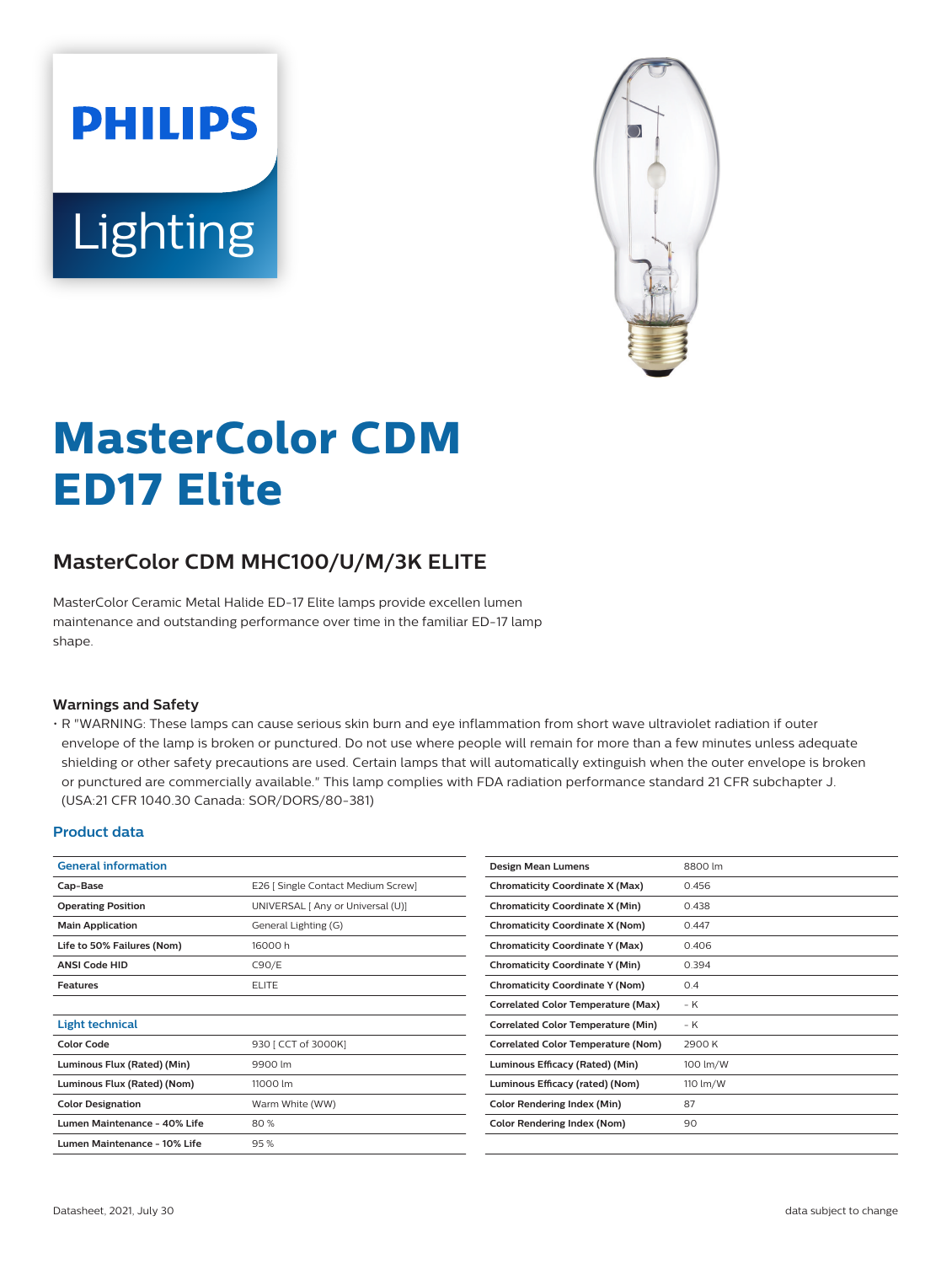



# **MasterColor CDM ED17 Elite**

## **MasterColor CDM MHC100/U/M/3K ELITE**

MasterColor Ceramic Metal Halide ED-17 Elite lamps provide excellen lumen maintenance and outstanding performance over time in the familiar ED-17 lamp shape.

#### **Warnings and Safety**

• R "WARNING: These lamps can cause serious skin burn and eye inflammation from short wave ultraviolet radiation if outer envelope of the lamp is broken or punctured. Do not use where people will remain for more than a few minutes unless adequate shielding or other safety precautions are used. Certain lamps that will automatically extinguish when the outer envelope is broken or punctured are commercially available." This lamp complies with FDA radiation performance standard 21 CFR subchapter J. (USA:21 CFR 1040.30 Canada: SOR/DORS/80-381)

#### **Product data**

| <b>General information</b>   |                                    | Design Mean Lumens                        | 8800 lm  |
|------------------------------|------------------------------------|-------------------------------------------|----------|
| Cap-Base                     | E26   Single Contact Medium Screw] | <b>Chromaticity Coordinate X (Max)</b>    | 0.456    |
| <b>Operating Position</b>    | UNIVERSAL [ Any or Universal (U)]  | <b>Chromaticity Coordinate X (Min)</b>    | 0.438    |
| <b>Main Application</b>      | General Lighting (G)               | <b>Chromaticity Coordinate X (Nom)</b>    | 0.447    |
| Life to 50% Failures (Nom)   | 16000h                             | <b>Chromaticity Coordinate Y (Max)</b>    | 0.406    |
| <b>ANSI Code HID</b>         | C90/E                              | <b>Chromaticity Coordinate Y (Min)</b>    | 0.394    |
| <b>Features</b>              | <b>ELITE</b>                       | <b>Chromaticity Coordinate Y (Nom)</b>    | 0.4      |
|                              |                                    | <b>Correlated Color Temperature (Max)</b> | $-K$     |
| <b>Light technical</b>       |                                    | <b>Correlated Color Temperature (Min)</b> | – K      |
| <b>Color Code</b>            | 930 [ CCT of 3000K]                | <b>Correlated Color Temperature (Nom)</b> | 2900 K   |
| Luminous Flux (Rated) (Min)  | 9900 lm                            | Luminous Efficacy (Rated) (Min)           | 100 lm/W |
| Luminous Flux (Rated) (Nom)  | 11000 lm                           | Luminous Efficacy (rated) (Nom)           | 110 lm/W |
| <b>Color Designation</b>     | Warm White (WW)                    | Color Rendering Index (Min)               | 87       |
| Lumen Maintenance - 40% Life | 80%                                | <b>Color Rendering Index (Nom)</b>        | 90       |
| Lumen Maintenance - 10% Life | 95%                                |                                           |          |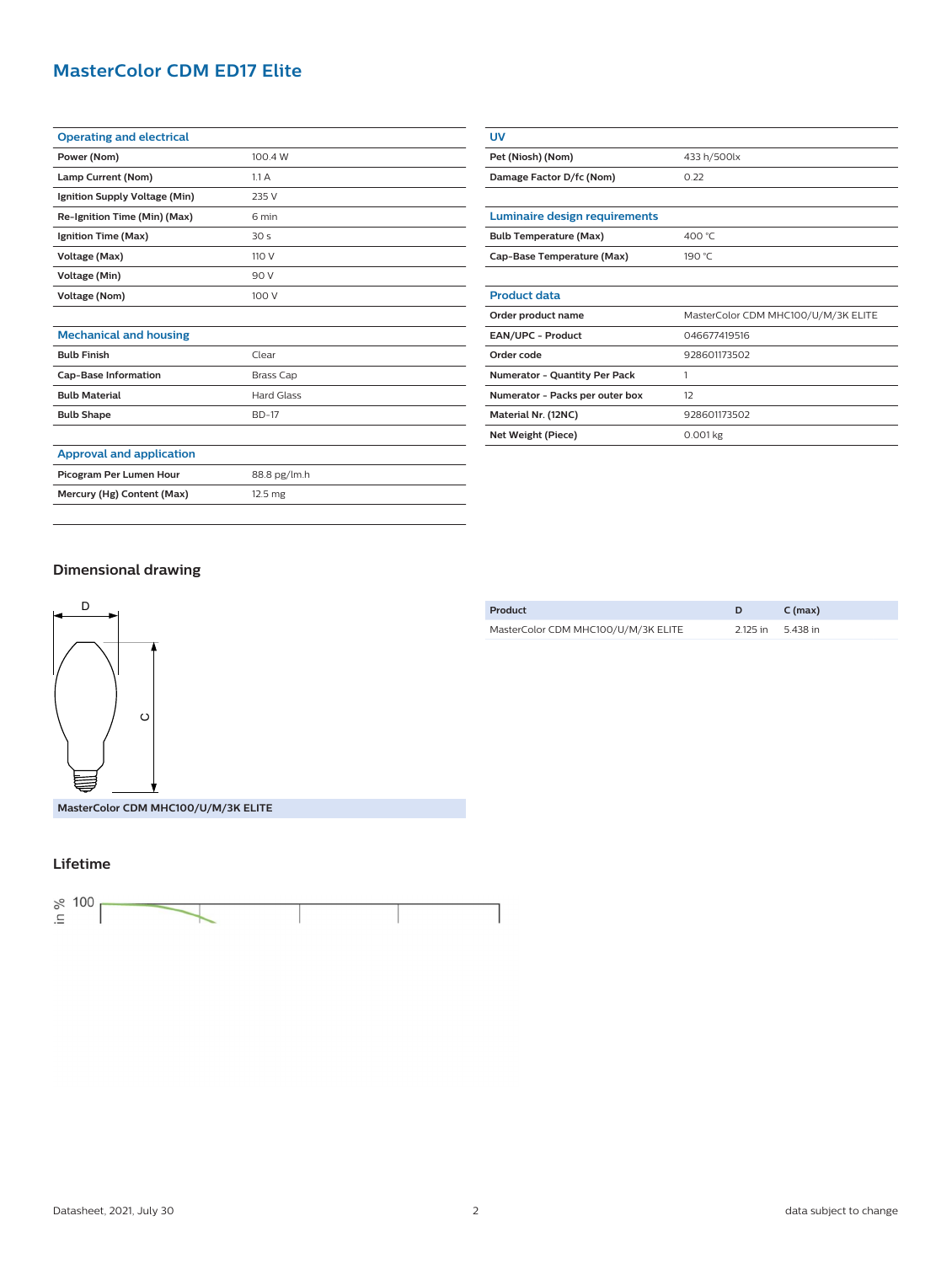## **MasterColor CDM ED17 Elite**

| <b>Operating and electrical</b> |                 |
|---------------------------------|-----------------|
| Power (Nom)                     | 100.4 W         |
| Lamp Current (Nom)              | 1.1A            |
| Ignition Supply Voltage (Min)   | 235 V           |
| Re-Ignition Time (Min) (Max)    | 6 min           |
| Ignition Time (Max)             | 30 <sub>s</sub> |
| Voltage (Max)                   | 110 V           |
| Voltage (Min)                   | 90 V            |
| Voltage (Nom)                   | 100 V           |
|                                 |                 |

| Pet (Niosh) (Nom)                    | 433 h/500lx                         |  |
|--------------------------------------|-------------------------------------|--|
| Damage Factor D/fc (Nom)             | 0.22                                |  |
|                                      |                                     |  |
| Luminaire design requirements        |                                     |  |
| <b>Bulb Temperature (Max)</b>        | 400 °C                              |  |
| Cap-Base Temperature (Max)           | 190 °C                              |  |
|                                      |                                     |  |
| <b>Product data</b>                  |                                     |  |
| Order product name                   | MasterColor CDM MHC100/U/M/3K ELITE |  |
| <b>EAN/UPC - Product</b>             | 046677419516                        |  |
| Order code                           | 928601173502                        |  |
| <b>Numerator - Quantity Per Pack</b> | 1                                   |  |
| Numerator - Packs per outer box      | 12                                  |  |
| Material Nr. (12NC)                  | 928601173502                        |  |
| Net Weight (Piece)                   | $0.001$ kg                          |  |

**UV**

### **Mechanical and housing Bulb Finish** Clear

|                             | ------       |
|-----------------------------|--------------|
| <b>Cap-Base Information</b> | Brass Cap    |
| <b>Bulb Material</b>        | Hard Glass   |
| <b>Bulb Shape</b>           | <b>BD-17</b> |
|                             |              |

#### **Approval and application**

**Picogram Per Lumen Hour** 88.8 pg/lm.h **Mercury (Hg) Content (Max)** 12.5 mg

| Dimensional drawing |  |
|---------------------|--|
|---------------------|--|



| Product                             |                   | $C$ (max) |
|-------------------------------------|-------------------|-----------|
| MasterColor CDM MHC100/U/M/3K ELITE | 2.125 in 5.438 in |           |
|                                     |                   |           |

## **Lifetime**